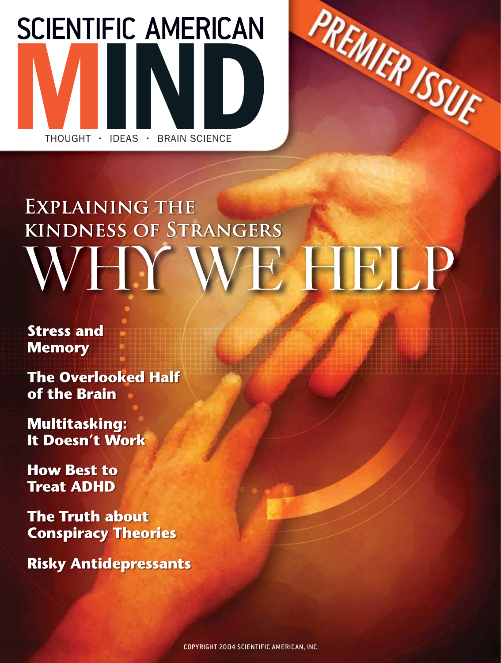# SUIEIVIII THOUGHT • IDEAS • BRAIN SCIENCE TIC AIVIENICAIV



### **EXPLAINING THE KINDNESS OF STRANGERS** VHY WE HELP

**Stress and Memory** 

**The Overlooked Half** of the Brain

**Multitasking:** It Doesn't Work

**How Best to Treat ADHD** 

**The Truth about Conspiracy Theories** 

**Risky Antidepressants** 

COPYRIGHT 2004 SCIENTIFIC AMERICAN, INC.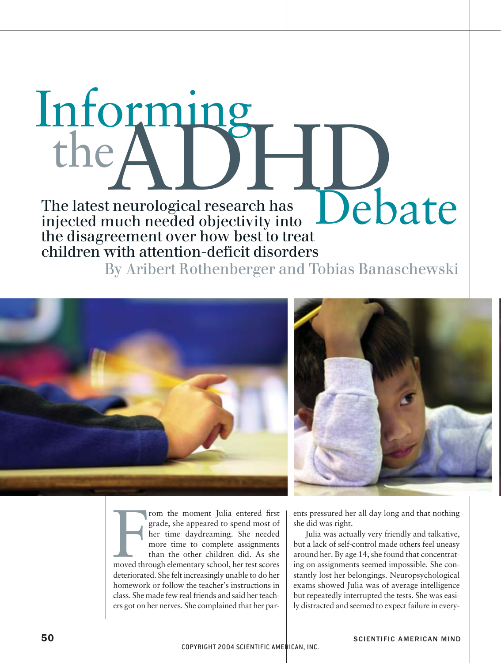## Informing The latest neurological research has injected much needed objectivity into the disagreement over how best to treat children with attention-deficit disorders Debate

By Aribert Rothenberger and Tobias Banaschewski



France of the moment Julia entered first grade, she appeared to spend most of her time daydreaming. She needed more time to complete assignments than the other children did. As she moved through elementary school, her test rom the moment Julia entered first grade, she appeared to spend most of her time daydreaming. She needed more time to complete assignments than the other children did. As she deteriorated. She felt increasingly unable to do her homework or follow the teacher's instructions in class. She made few real friends and said her teachers got on her nerves. She complained that her par-

ents pressured her all day long and that nothing she did was right.

Julia was actually very friendly and talkative, but a lack of self-control made others feel uneasy around her. By age 14, she found that concentrating on assignments seemed impossible. She constantly lost her belongings. Neuropsychological exams showed Julia was of average intelligence but repeatedly interrupted the tests. She was easily distracted and seemed to expect failure in every-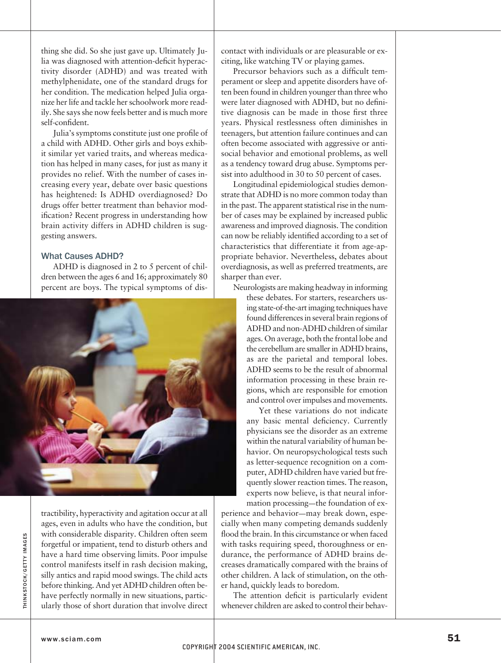thing she did. So she just gave up. Ultimately Julia was diagnosed with attention-deficit hyperactivity disorder (ADHD) and was treated with methylphenidate, one of the standard drugs for her condition. The medication helped Julia organize her life and tackle her schoolwork more readily. She says she now feels better and is much more self-confident.

Julia's symptoms constitute just one profile of a child with ADHD. Other girls and boys exhibit similar yet varied traits, and whereas medication has helped in many cases, for just as many it provides no relief. With the number of cases increasing every year, debate over basic questions has heightened: Is ADHD overdiagnosed? Do drugs offer better treatment than behavior modification? Recent progress in understanding how brain activity differs in ADHD children is suggesting answers.

#### What Causes ADHD?

ADHD is diagnosed in 2 to 5 percent of children between the ages 6 and 16; approximately 80 percent are boys. The typical symptoms of dis-



tractibility, hyperactivity and agitation occur at all ages, even in adults who have the condition, but with considerable disparity. Children often seem forgetful or impatient, tend to disturb others and have a hard time observing limits. Poor impulse control manifests itself in rash decision making, silly antics and rapid mood swings. The child acts before thinking. And yet ADHD children often behave perfectly normally in new situations, particularly those of short duration that involve direct

contact with individuals or are pleasurable or exciting, like watching TV or playing games.

Precursor behaviors such as a difficult temperament or sleep and appetite disorders have often been found in children younger than three who were later diagnosed with ADHD, but no definitive diagnosis can be made in those first three years. Physical restlessness often diminishes in teenagers, but attention failure continues and can often become associated with aggressive or antisocial behavior and emotional problems, as well as a tendency toward drug abuse. Symptoms persist into adulthood in 30 to 50 percent of cases.

Longitudinal epidemiological studies demonstrate that ADHD is no more common today than in the past. The apparent statistical rise in the number of cases may be explained by increased public awareness and improved diagnosis. The condition can now be reliably identified according to a set of characteristics that differentiate it from age-appropriate behavior. Nevertheless, debates about overdiagnosis, as well as preferred treatments, are sharper than ever.

Neurologists are making headway in informing

these debates. For starters, researchers using state-of-the-art imaging techniques have found differences in several brain regions of ADHD and non-ADHD children of similar ages. On average, both the frontal lobe and the cerebellum are smaller in ADHD brains, as are the parietal and temporal lobes. ADHD seems to be the result of abnormal information processing in these brain regions, which are responsible for emotion and control over impulses and movements.

Yet these variations do not indicate any basic mental deficiency. Currently physicians see the disorder as an extreme within the natural variability of human behavior. On neuropsychological tests such as letter-sequence recognition on a computer, ADHD children have varied but frequently slower reaction times. The reason, experts now believe, is that neural information processing—the foundation of ex-

perience and behavior—may break down, especially when many competing demands suddenly flood the brain. In this circumstance or when faced with tasks requiring speed, thoroughness or endurance, the performance of ADHD brains decreases dramatically compared with the brains of other children. A lack of stimulation, on the other hand, quickly leads to boredom.

The attention deficit is particularly evident whenever children are asked to control their behav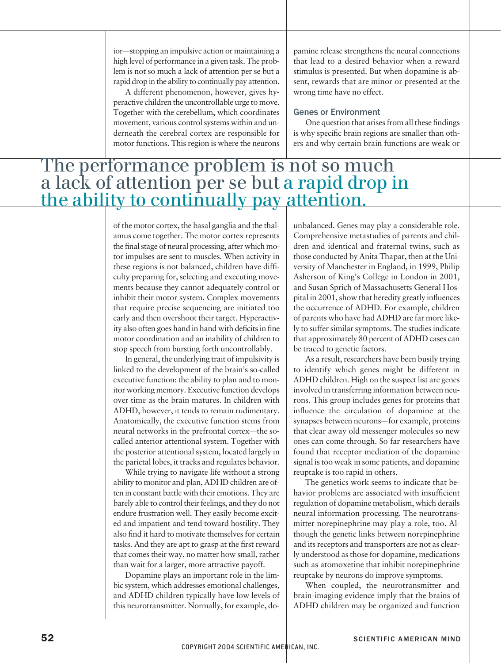ior—stopping an impulsive action or maintaining a high level of performance in a given task. The problem is not so much a lack of attention per se but a rapid drop in the ability to continually pay attention.

A different phenomenon, however, gives hyperactive children the uncontrollable urge to move. Together with the cerebellum, which coordinates movement, various control systems within and underneath the cerebral cortex are responsible for motor functions. This region is where the neurons pamine release strengthens the neural connections that lead to a desired behavior when a reward stimulus is presented. But when dopamine is absent, rewards that are minor or presented at the wrong time have no effect.

#### Genes or Environment

One question that arises from all these findings is why specific brain regions are smaller than others and why certain brain functions are weak or

### The performance problem is not so much a lack of attention per se but a rapid drop in<br>the ability to continually pay attention.

of the motor cortex, the basal ganglia and the thalamus come together. The motor cortex represents the final stage of neural processing, after which motor impulses are sent to muscles. When activity in these regions is not balanced, children have difficulty preparing for, selecting and executing movements because they cannot adequately control or inhibit their motor system. Complex movements that require precise sequencing are initiated too early and then overshoot their target. Hyperactivity also often goes hand in hand with deficits in fine motor coordination and an inability of children to stop speech from bursting forth uncontrollably.

In general, the underlying trait of impulsivity is linked to the development of the brain's so-called executive function: the ability to plan and to monitor working memory. Executive function develops over time as the brain matures. In children with ADHD, however, it tends to remain rudimentary. Anatomically, the executive function stems from neural networks in the prefrontal cortex—the socalled anterior attentional system. Together with the posterior attentional system, located largely in the parietal lobes, it tracks and regulates behavior.

While trying to navigate life without a strong ability to monitor and plan, ADHD children are often in constant battle with their emotions. They are barely able to control their feelings, and they do not endure frustration well. They easily become excited and impatient and tend toward hostility. They also find it hard to motivate themselves for certain tasks. And they are apt to grasp at the first reward that comes their way, no matter how small, rather than wait for a larger, more attractive payoff.

Dopamine plays an important role in the limbic system, which addresses emotional challenges, and ADHD children typically have low levels of this neurotransmitter. Normally, for example, dounbalanced. Genes may play a considerable role. Comprehensive metastudies of parents and children and identical and fraternal twins, such as those conducted by Anita Thapar, then at the University of Manchester in England, in 1999, Philip Asherson of King's College in London in 2001, and Susan Sprich of Massachusetts General Hospital in 2001, show that heredity greatly influences the occurrence of ADHD. For example, children of parents who have had ADHD are far more likely to suffer similar symptoms. The studies indicate that approximately 80 percent of ADHD cases can be traced to genetic factors.

As a result, researchers have been busily trying to identify which genes might be different in ADHD children. High on the suspect list are genes involved in transferring information between neurons. This group includes genes for proteins that influence the circulation of dopamine at the synapses between neurons—for example, proteins that clear away old messenger molecules so new ones can come through. So far researchers have found that receptor mediation of the dopamine signal is too weak in some patients, and dopamine reuptake is too rapid in others.

The genetics work seems to indicate that behavior problems are associated with insufficient regulation of dopamine metabolism, which derails neural information processing. The neurotransmitter norepinephrine may play a role, too. Although the genetic links between norepinephrine and its receptors and transporters are not as clearly understood as those for dopamine, medications such as atomoxetine that inhibit norepinephrine reuptake by neurons do improve symptoms.

When coupled, the neurotransmitter and brain-imaging evidence imply that the brains of ADHD children may be organized and function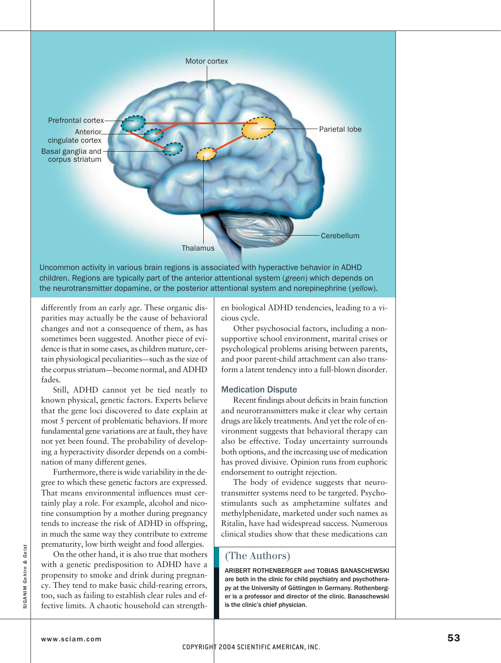

children. Regions are typically part of the anterior attentional system (*green*) which depends on the neurotransmitter dopamine, or the posterior attentional system and norepinephrine ( *yellow*).

differently from an early age. These organic disparities may actually be the cause of behavioral changes and not a consequence of them, as has sometimes been suggested. Another piece of evidence is that in some cases, as children mature, certain physiological peculiarities—such as the size of the corpus striatum—become normal, and ADHD fades.

Still, ADHD cannot yet be tied neatly to known physical, genetic factors. Experts believe that the gene loci discovered to date explain at most 5 percent of problematic behaviors. If more fundamental gene variations are at fault, they have not yet been found. The probability of developing a hyperactivity disorder depends on a combination of many different genes.

Furthermore, there is wide variability in the degree to which these genetic factors are expressed. That means environmental influences must certainly play a role. For example, alcohol and nicotine consumption by a mother during pregnancy tends to increase the risk of ADHD in offspring, in much the same way they contribute to extreme prematurity, low birth weight and food allergies.

On the other hand, it is also true that mothers with a genetic predisposition to ADHD have a propensity to smoke and drink during pregnancy. They tend to make basic child-rearing errors, too, such as failing to establish clear rules and effective limits. A chaotic household can strengthen biological ADHD tendencies, leading to a vicious cycle.

Other psychosocial factors, including a nonsupportive school environment, marital crises or psychological problems arising between parents, and poor parent-child attachment can also transform a latent tendency into a full-blown disorder.

#### Medication Dispute

Recent findings about deficits in brain function and neurotransmitters make it clear why certain drugs are likely treatments. And yet the role of environment suggests that behavioral therapy can also be effective. Today uncertainty surrounds both options, and the increasing use of medication has proved divisive. Opinion runs from euphoric endorsement to outright rejection.

The body of evidence suggests that neurotransmitter systems need to be targeted. Psychostimulants such as amphetamine sulfates and methylphenidate, marketed under such names as Ritalin, have had widespread success. Numerous clinical studies show that these medications can

#### (The Authors)

ARIBERT ROTHENBERGER and TOBIAS BANASCHEWSKI are both in the clinic for child psychiatry and psychotherapy at the University of Göttingen in Germany. Rothenberger is a professor and director of the clinic. Banaschewski is the clinic's chief physician.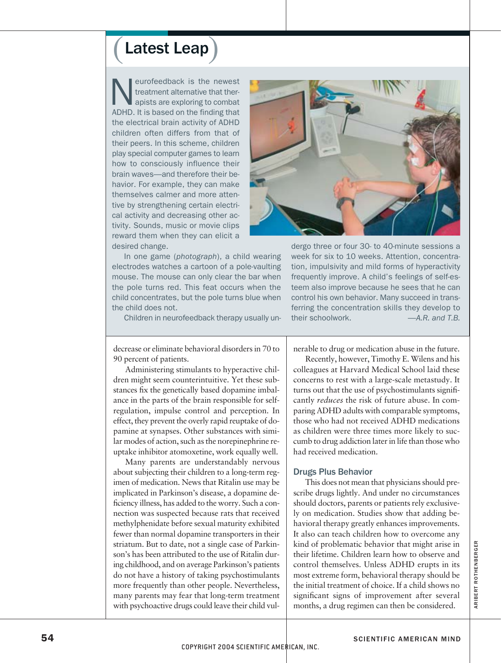Latest Leap

Neurofeedback is the newest<br>treatment alternative that there<br>apists are exploring to combat<br>ADHD. It is based on the finding that treatment alternative that therapists are exploring to combat ADHD. It is based on the finding that the electrical brain activity of ADHD children often differs from that of their peers. In this scheme, children play special computer games to learn how to consciously influence their brain waves—and therefore their behavior. For example, they can make themselves calmer and more attentive by strengthening certain electrical activity and decreasing other activity. Sounds, music or movie clips reward them when they can elicit a desired change.

In one game (*photograph*), a child wearing electrodes watches a cartoon of a pole-vaulting mouse. The mouse can only clear the bar when the pole turns red. This feat occurs when the child concentrates, but the pole turns blue when the child does not.

Children in neurofeedback therapy usually un-



dergo three or four 30- to 40-minute sessions a week for six to 10 weeks. Attention, concentration, impulsivity and mild forms of hyperactivity frequently improve. A child's feelings of self-esteem also improve because he sees that he can control his own behavior. Many succeed in transferring the concentration skills they develop to their schoolwork. —*A.R. and T.B.*

decrease or eliminate behavioral disorders in 70 to

90 percent of patients. Administering stimulants to hyperactive children might seem counterintuitive. Yet these substances fix the genetically based dopamine imbalance in the parts of the brain responsible for selfregulation, impulse control and perception. In effect, they prevent the overly rapid reuptake of dopamine at synapses. Other substances with similar modes of action, such as the norepinephrine reuptake inhibitor atomoxetine, work equally well.

Many parents are understandably nervous about subjecting their children to a long-term regimen of medication. News that Ritalin use may be implicated in Parkinson's disease, a dopamine deficiency illness, has added to the worry. Such a connection was suspected because rats that received methylphenidate before sexual maturity exhibited fewer than normal dopamine transporters in their striatum. But to date, not a single case of Parkinson's has been attributed to the use of Ritalin during childhood, and on average Parkinson's patients do not have a history of taking psychostimulants more frequently than other people. Nevertheless, many parents may fear that long-term treatment with psychoactive drugs could leave their child vulnerable to drug or medication abuse in the future.

Recently, however, Timothy E. Wilens and his colleagues at Harvard Medical School laid these concerns to rest with a large-scale metastudy. It turns out that the use of psychostimulants significantly *reduces* the risk of future abuse. In comparing ADHD adults with comparable symptoms, those who had not received ADHD medications as children were three times more likely to succumb to drug addiction later in life than those who had received medication.

#### Drugs Plus Behavior

This does not mean that physicians should prescribe drugs lightly. And under no circumstances should doctors, parents or patients rely exclusively on medication. Studies show that adding behavioral therapy greatly enhances improvements. It also can teach children how to overcome any kind of problematic behavior that might arise in their lifetime. Children learn how to observe and control themselves. Unless ADHD erupts in its most extreme form, behavioral therapy should be the initial treatment of choice. If a child shows no significant signs of improvement after several months, a drug regimen can then be considered.